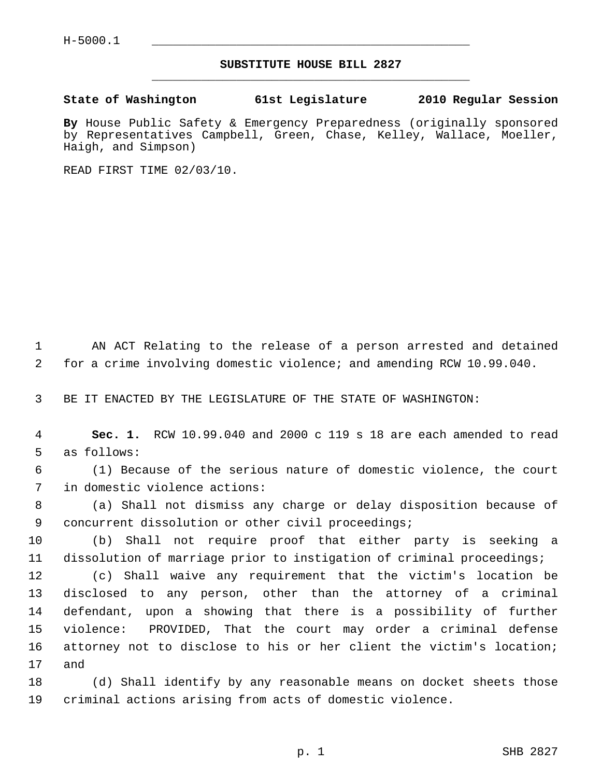## **SUBSTITUTE HOUSE BILL 2827** \_\_\_\_\_\_\_\_\_\_\_\_\_\_\_\_\_\_\_\_\_\_\_\_\_\_\_\_\_\_\_\_\_\_\_\_\_\_\_\_\_\_\_\_\_

## **State of Washington 61st Legislature 2010 Regular Session**

**By** House Public Safety & Emergency Preparedness (originally sponsored by Representatives Campbell, Green, Chase, Kelley, Wallace, Moeller, Haigh, and Simpson)

READ FIRST TIME 02/03/10.

 1 AN ACT Relating to the release of a person arrested and detained 2 for a crime involving domestic violence; and amending RCW 10.99.040.

3 BE IT ENACTED BY THE LEGISLATURE OF THE STATE OF WASHINGTON:

 4 **Sec. 1.** RCW 10.99.040 and 2000 c 119 s 18 are each amended to read 5 as follows:

 6 (1) Because of the serious nature of domestic violence, the court 7 in domestic violence actions:

 8 (a) Shall not dismiss any charge or delay disposition because of 9 concurrent dissolution or other civil proceedings;

10 (b) Shall not require proof that either party is seeking a 11 dissolution of marriage prior to instigation of criminal proceedings;

12 (c) Shall waive any requirement that the victim's location be 13 disclosed to any person, other than the attorney of a criminal 14 defendant, upon a showing that there is a possibility of further 15 violence: PROVIDED, That the court may order a criminal defense 16 attorney not to disclose to his or her client the victim's location; 17 and

18 (d) Shall identify by any reasonable means on docket sheets those 19 criminal actions arising from acts of domestic violence.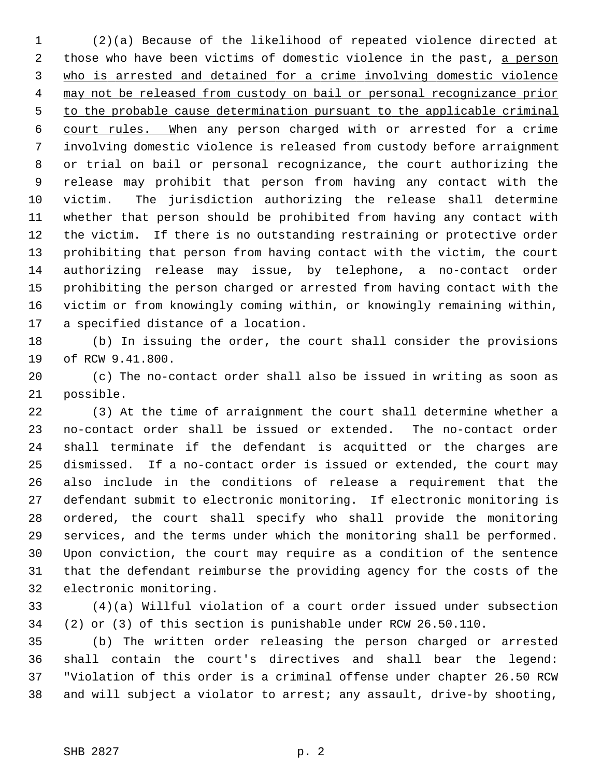1 (2)(a) Because of the likelihood of repeated violence directed at 2 those who have been victims of domestic violence in the past, a person 3 who is arrested and detained for a crime involving domestic violence 4 may not be released from custody on bail or personal recognizance prior 5 to the probable cause determination pursuant to the applicable criminal 6 court rules. When any person charged with or arrested for a crime 7 involving domestic violence is released from custody before arraignment 8 or trial on bail or personal recognizance, the court authorizing the 9 release may prohibit that person from having any contact with the 10 victim. The jurisdiction authorizing the release shall determine 11 whether that person should be prohibited from having any contact with 12 the victim. If there is no outstanding restraining or protective order 13 prohibiting that person from having contact with the victim, the court 14 authorizing release may issue, by telephone, a no-contact order 15 prohibiting the person charged or arrested from having contact with the 16 victim or from knowingly coming within, or knowingly remaining within, 17 a specified distance of a location.

18 (b) In issuing the order, the court shall consider the provisions 19 of RCW 9.41.800.

20 (c) The no-contact order shall also be issued in writing as soon as 21 possible.

22 (3) At the time of arraignment the court shall determine whether a 23 no-contact order shall be issued or extended. The no-contact order 24 shall terminate if the defendant is acquitted or the charges are 25 dismissed. If a no-contact order is issued or extended, the court may 26 also include in the conditions of release a requirement that the 27 defendant submit to electronic monitoring. If electronic monitoring is 28 ordered, the court shall specify who shall provide the monitoring 29 services, and the terms under which the monitoring shall be performed. 30 Upon conviction, the court may require as a condition of the sentence 31 that the defendant reimburse the providing agency for the costs of the 32 electronic monitoring.

33 (4)(a) Willful violation of a court order issued under subsection 34 (2) or (3) of this section is punishable under RCW 26.50.110.

35 (b) The written order releasing the person charged or arrested 36 shall contain the court's directives and shall bear the legend: 37 "Violation of this order is a criminal offense under chapter 26.50 RCW 38 and will subject a violator to arrest; any assault, drive-by shooting,